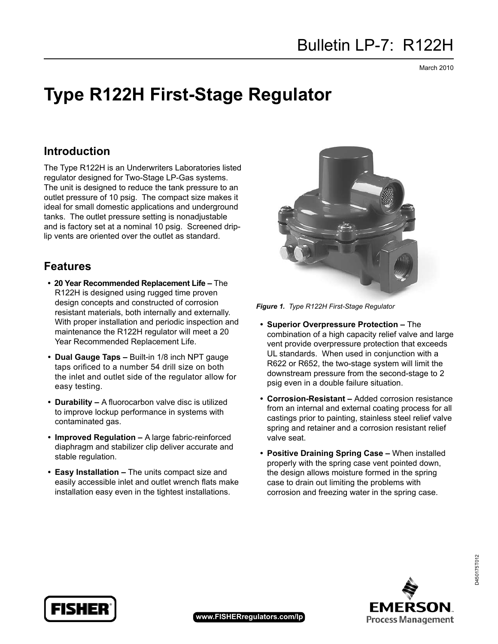March 2010

# **Type R122H First-Stage Regulator**

## **Introduction**

The Type R122H is an Underwriters Laboratories listed regulator designed for Two-Stage LP-Gas systems. The unit is designed to reduce the tank pressure to an outlet pressure of 10 psig. The compact size makes it ideal for small domestic applications and underground tanks. The outlet pressure setting is nonadjustable and is factory set at a nominal 10 psig. Screened driplip vents are oriented over the outlet as standard.

### **Features**

- **• 20 Year Recommended Replacement Life –** The R122H is designed using rugged time proven design concepts and constructed of corrosion resistant materials, both internally and externally. With proper installation and periodic inspection and maintenance the R122H regulator will meet a 20 Year Recommended Replacement Life.
- **• Dual Gauge Taps –** Built-in 1/8 inch NPT gauge taps orificed to a number 54 drill size on both the inlet and outlet side of the regulator allow for easy testing.
- **• Durability –** A fluorocarbon valve disc is utilized to improve lockup performance in systems with contaminated gas.
- **• Improved Regulation –** A large fabric-reinforced diaphragm and stabilizer clip deliver accurate and stable regulation.
- **• Easy Installation –** The units compact size and easily accessible inlet and outlet wrench flats make installation easy even in the tightest installations.



*Figure 1. Type R122H First-Stage Regulator* 

- **• Superior Overpressure Protection –** The combination of a high capacity relief valve and large vent provide overpressure protection that exceeds UL standards. When used in conjunction with a R622 or R652, the two-stage system will limit the downstream pressure from the second-stage to 2 psig even in a double failure situation.
- **• Corrosion-Resistant –** Added corrosion resistance from an internal and external coating process for all castings prior to painting, stainless steel relief valve spring and retainer and a corrosion resistant relief valve seat.
- **• Positive Draining Spring Case –** When installed properly with the spring case vent pointed down, the design allows moisture formed in the spring case to drain out limiting the problems with corrosion and freezing water in the spring case.



D450175T012

D450175T012